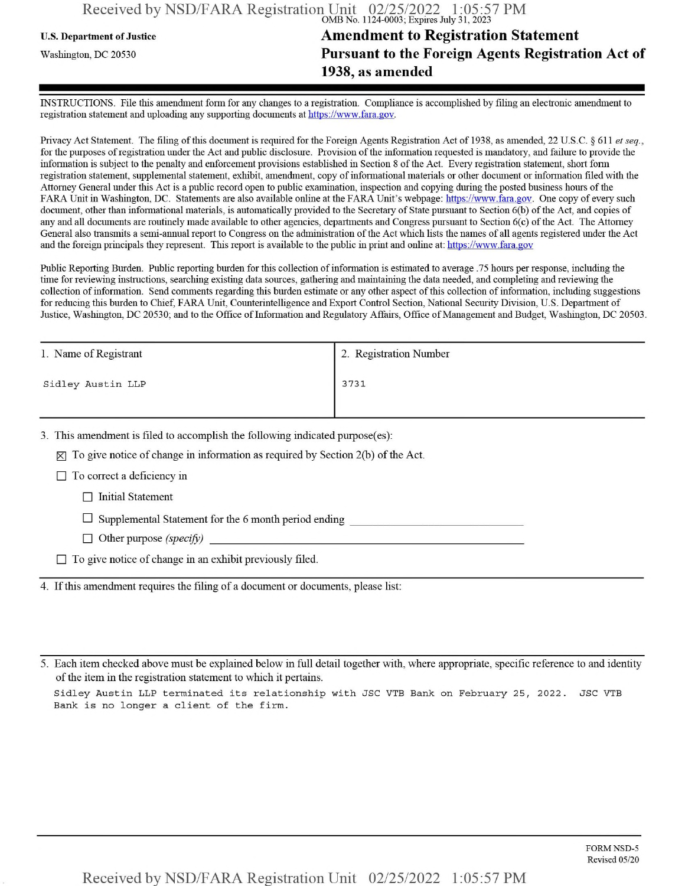## Received by NSD/FARA Registration Unit 02/25/2022 1:05:57 PM OMB No. 1124-0003; Expires July 31, 2023

## U.S. Department ofJustice **Amendment to Registration Statement** Washington, dc <sup>20530</sup>**Pursuant to the Foreign Agents Registration Act of 1938, as amended**

INSTRUCTIONS. File this amendment form for any changes to a registration. Compliance is accomplished by filing an electronic amendment to registration statement and uploading any supporting documents at https://www.fara.gov.

Privacy Act Statement. The filing of this document is required for the Foreign Agents Registration Act of 1938, as amended, 22 U.S.C. § 611 *et seq.*, for the purposes ofregistration under the Act and public disclosure. Provision ofthe information requested is mandatory, and failure to provide the information is subject to the penalty and enforcement provisions established in Section 8 ofthe Act. Every registration statement, short form registration statement, supplemental statement, exhibit, amendment, copy ofinformational materials or other document or information filed with the Attorney General under this Act is a public record open to public examination, inspection and copying during the posted business hours ofthe FARA Unit in Washington, DC. Statements are also available online at the FARA Unit's webpage: https://www.fara.gov. One copy of every such document, other than informational materials, is automatically provided to the Secretary of State pursuant to Section 6(b) ofthe Act, and copies of any and all documents are routinely made available to other agencies, departments and Congress pursuant to Section 6(c) ofthe Act. The Attorney General also transmits a semi-annual report to Congress on the administration ofthe Act which lists the names of all agents registered under the Act and the foreign principals they represent. This report is available to the public in print and online at: https://www.fara.gov

Public Reporting Burden. Public reporting burden for this collection of information is estimated to average .75 hours per response, including the time for reviewing instructions, searching existing data sources, gathering and maintaining the data needed, and completing and reviewing the collection of information. Send comments regarding this burden estimate or any other aspect of this collection of information, including suggestions for reducing this burden to Chief, FARA Unit, Counterintelligence and Export Control Section, National Security Division, U.S. Department of Justice, Washington, DC 20530; and to the Office of Information and Regulatory Affairs, Office of Management and Budget, Washington, DC 20503.

| 1. Name of Registrant | 2. Registration Number |  |
|-----------------------|------------------------|--|
| Sidley Austin LLP     | 3731                   |  |
|                       |                        |  |

3. This amendment is filed to accomplish the following indicated purpose(es):

 $[\times]$  To give notice of change in information as required by Section 2(b) of the Act.

 $\Box$  To correct a deficiency in

 $\Box$  Initial Statement

 $\Box$  Supplemental Statement for the 6 month period ending

 $\Box$  Other purpose *(specify)* 

 $\Box$  To give notice of change in an exhibit previously filed.

4. Ifthis amendment requires the filing of a document or documents, please list:

5. Each item checked above must be explained below in full detail together with, where appropriate, specific reference to and identity of the item in the registration statement to which it pertains.

Sidley Austin LLP terminated its relationship with JSC VTB Bank on February 25, 2022. JSC VTB Bank is no longer a client of the firm.